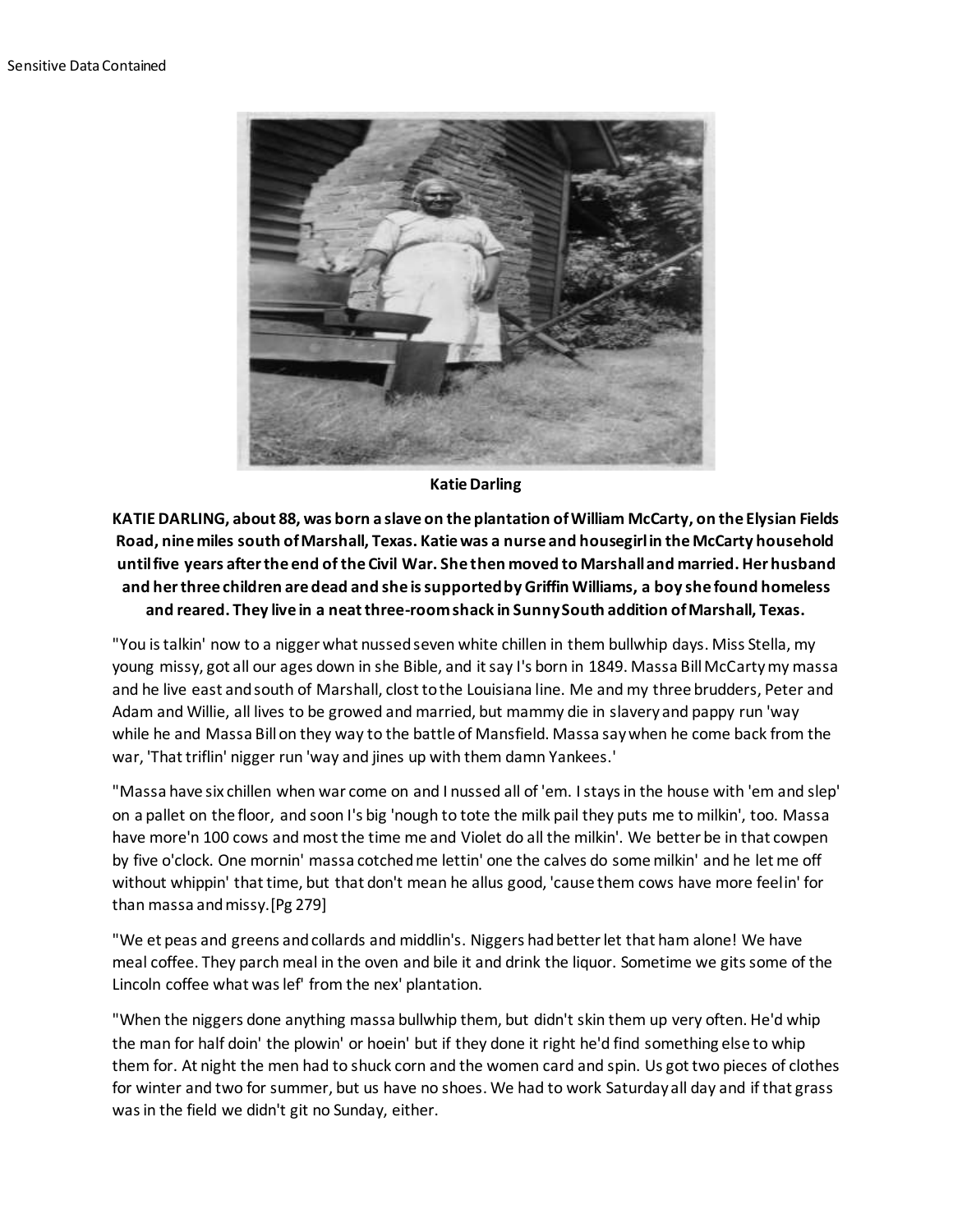

## **Katie Darling**

**KATIE DARLING, about 88, was born a slave on the plantation of William McCarty, on the Elysian Fields Road, nine miles south of Marshall, Texas. Katie was a nurse and housegirl in the McCarty household until five years after the end of the Civil War. She then moved to Marshall and married. Her husband and her three children are dead and she is supported by Griffin Williams, a boy she found homeless and reared. They live in a neat three-room shack in Sunny South addition of Marshall, Texas.**

"You is talkin' now to a nigger what nussed seven white chillen in them bullwhip days. Miss Stella, my young missy, got all our ages down in she Bible, and it say I's born in 1849. Massa Bill McCarty my massa and he live east and south of Marshall, clost to the Louisiana line. Me and my three brudders, Peter and Adam and Willie, all lives to be growed and married, but mammy die in slavery and pappy run 'way while he and Massa Bill on they way to the battle of Mansfield. Massa say when he come back from the war, 'That triflin' nigger run 'way and jines up with them damn Yankees.'

"Massa have six chillen when war come on and I nussed all of 'em. I stays in the house with 'em and slep' on a pallet on the floor, and soon I's big 'nough to tote the milk pail they puts me to milkin', too. Massa have more'n 100 cows and most the time me and Violet do all the milkin'. We better be in that cowpen by five o'clock. One mornin' massa cotched me lettin' one the calves do some milkin' and he let me off without whippin' that time, but that don't mean he allus good, 'cause them cows have more feelin' for than massa and missy.[Pg 279]

"We et peas and greens and collards and middlin's. Niggers had better let that ham alone! We have meal coffee. They parch meal in the oven and bile it and drink the liquor. Sometime we gits some of the Lincoln coffee what was lef' from the nex' plantation.

"When the niggers done anything massa bullwhip them, but didn't skin them up very often. He'd whip the man for half doin' the plowin' or hoein' but if they done it right he'd find something else to whip them for. At night the men had to shuck corn and the women card and spin. Us got two pieces of clothes for winter and two for summer, but us have no shoes. We had to work Saturday all day and if that grass was in the field we didn't git no Sunday, either.